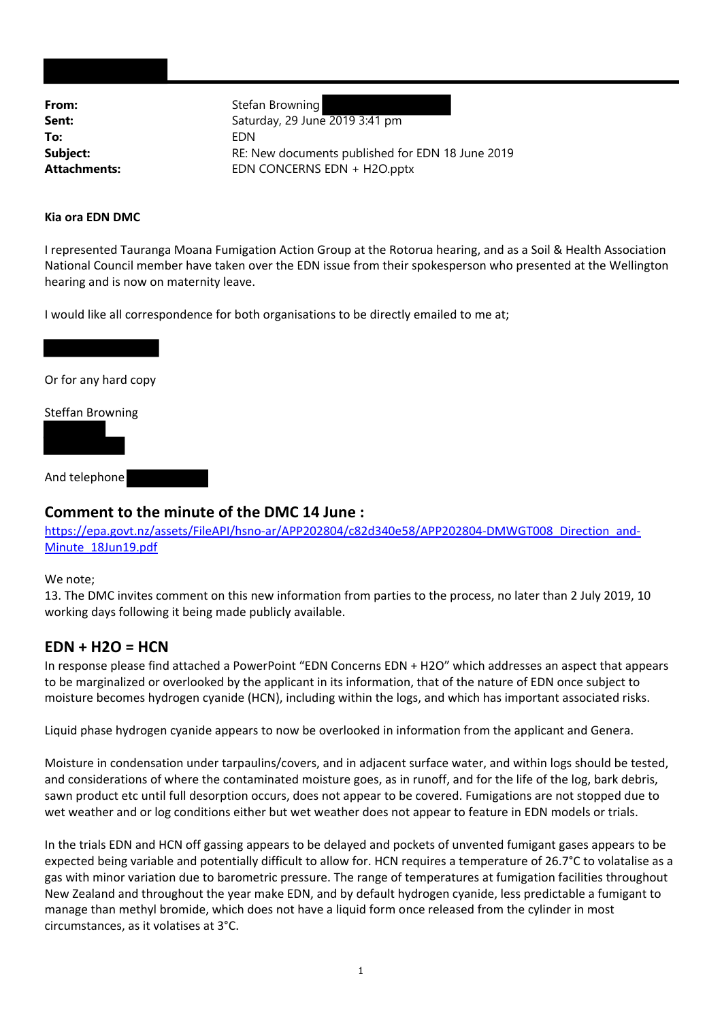**From:** Stefan Browning **To:** EDN

**Sent:** Saturday, 29 June 2019 3:41 pm **Subject:** RE: New documents published for EDN 18 June 2019 Attachments: EDN CONCERNS EDN + H2O.pptx

#### **Kia ora EDN DMC**

I represented Tauranga Moana Fumigation Action Group at the Rotorua hearing, and as a Soil & Health Association National Council member have taken over the EDN issue from their spokesperson who presented at the Wellington hearing and is now on maternity leave.

I would like all correspondence for both organisations to be directly emailed to me at;

Or for any hard copy

Steffan Browning

And telephone

#### **Comment to the minute of the DMC 14 June :**

https://epa.govt.nz/assets/FileAPI/hsno-ar/APP202804/c82d340e58/APP202804-DMWGT008\_Direction\_and-Minute\_18Jun19.pdf

#### We note;

13. The DMC invites comment on this new information from parties to the process, no later than 2 July 2019, 10 working days following it being made publicly available.

#### **EDN + H2O = HCN**

In response please find attached a PowerPoint "EDN Concerns EDN + H2O" which addresses an aspect that appears to be marginalized or overlooked by the applicant in its information, that of the nature of EDN once subject to moisture becomes hydrogen cyanide (HCN), including within the logs, and which has important associated risks.

Liquid phase hydrogen cyanide appears to now be overlooked in information from the applicant and Genera.

Moisture in condensation under tarpaulins/covers, and in adjacent surface water, and within logs should be tested, and considerations of where the contaminated moisture goes, as in runoff, and for the life of the log, bark debris, sawn product etc until full desorption occurs, does not appear to be covered. Fumigations are not stopped due to wet weather and or log conditions either but wet weather does not appear to feature in EDN models or trials.

In the trials EDN and HCN off gassing appears to be delayed and pockets of unvented fumigant gases appears to be expected being variable and potentially difficult to allow for. HCN requires a temperature of 26.7°C to volatalise as a gas with minor variation due to barometric pressure. The range of temperatures at fumigation facilities throughout New Zealand and throughout the year make EDN, and by default hydrogen cyanide, less predictable a fumigant to manage than methyl bromide, which does not have a liquid form once released from the cylinder in most circumstances, as it volatises at 3°C.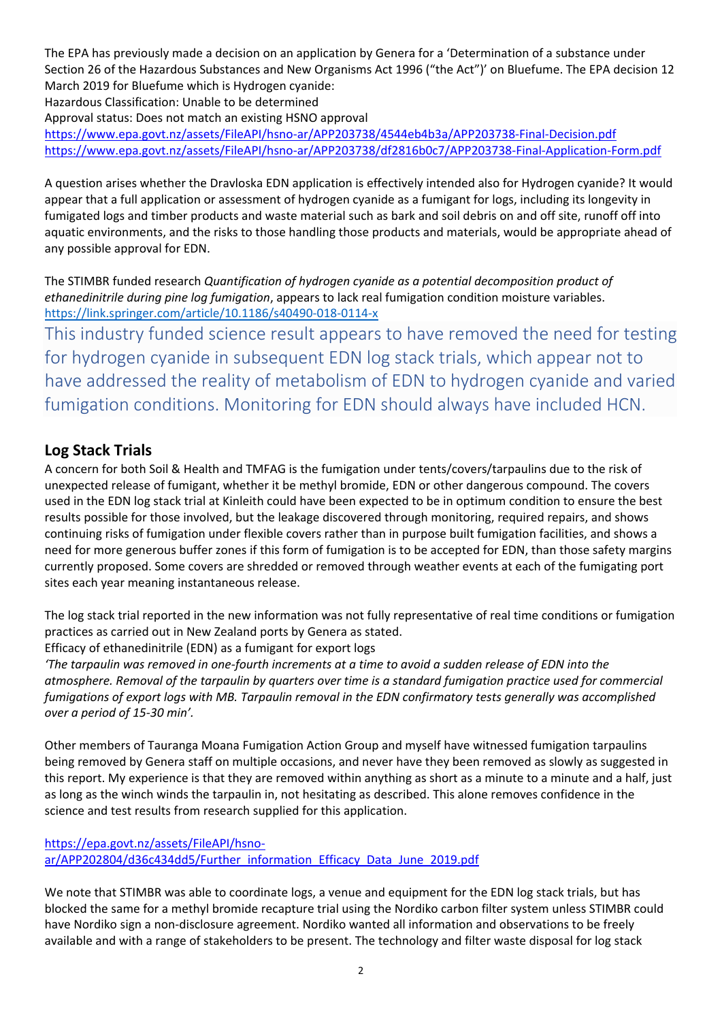The EPA has previously made a decision on an application by Genera for a 'Determination of a substance under Section 26 of the Hazardous Substances and New Organisms Act 1996 ("the Act")' on Bluefume. The EPA decision 12 March 2019 for Bluefume which is Hydrogen cyanide:

Hazardous Classification: Unable to be determined

Approval status: Does not match an existing HSNO approval

https://www.epa.govt.nz/assets/FileAPI/hsno‐ar/APP203738/4544eb4b3a/APP203738‐Final‐Decision.pdf https://www.epa.govt.nz/assets/FileAPI/hsno‐ar/APP203738/df2816b0c7/APP203738‐Final‐Application‐Form.pdf

A question arises whether the Dravloska EDN application is effectively intended also for Hydrogen cyanide? It would appear that a full application or assessment of hydrogen cyanide as a fumigant for logs, including its longevity in fumigated logs and timber products and waste material such as bark and soil debris on and off site, runoff off into aquatic environments, and the risks to those handling those products and materials, would be appropriate ahead of any possible approval for EDN.

The STIMBR funded research *Quantification of hydrogen cyanide as a potential decomposition product of ethanedinitrile during pine log fumigation*, appears to lack real fumigation condition moisture variables. https://link.springer.com/article/10.1186/s40490‐018‐0114‐x

This industry funded science result appears to have removed the need for testing for hydrogen cyanide in subsequent EDN log stack trials, which appear not to have addressed the reality of metabolism of EDN to hydrogen cyanide and varied fumigation conditions. Monitoring for EDN should always have included HCN.

#### **Log Stack Trials**

A concern for both Soil & Health and TMFAG is the fumigation under tents/covers/tarpaulins due to the risk of unexpected release of fumigant, whether it be methyl bromide, EDN or other dangerous compound. The covers used in the EDN log stack trial at Kinleith could have been expected to be in optimum condition to ensure the best results possible for those involved, but the leakage discovered through monitoring, required repairs, and shows continuing risks of fumigation under flexible covers rather than in purpose built fumigation facilities, and shows a need for more generous buffer zones if this form of fumigation is to be accepted for EDN, than those safety margins currently proposed. Some covers are shredded or removed through weather events at each of the fumigating port sites each year meaning instantaneous release.

The log stack trial reported in the new information was not fully representative of real time conditions or fumigation practices as carried out in New Zealand ports by Genera as stated.

Efficacy of ethanedinitrile (EDN) as a fumigant for export logs

*'The tarpaulin was removed in one‐fourth increments at a time to avoid a sudden release of EDN into the atmosphere. Removal of the tarpaulin by quarters over time is a standard fumigation practice used for commercial fumigations of export logs with MB. Tarpaulin removal in the EDN confirmatory tests generally was accomplished over a period of 15‐30 min'.*

Other members of Tauranga Moana Fumigation Action Group and myself have witnessed fumigation tarpaulins being removed by Genera staff on multiple occasions, and never have they been removed as slowly as suggested in this report. My experience is that they are removed within anything as short as a minute to a minute and a half, just as long as the winch winds the tarpaulin in, not hesitating as described. This alone removes confidence in the science and test results from research supplied for this application.

#### https://epa.govt.nz/assets/FileAPI/hsno‐

ar/APP202804/d36c434dd5/Further\_information\_Efficacy\_Data\_June\_2019.pdf

We note that STIMBR was able to coordinate logs, a venue and equipment for the EDN log stack trials, but has blocked the same for a methyl bromide recapture trial using the Nordiko carbon filter system unless STIMBR could have Nordiko sign a non-disclosure agreement. Nordiko wanted all information and observations to be freely available and with a range of stakeholders to be present. The technology and filter waste disposal for log stack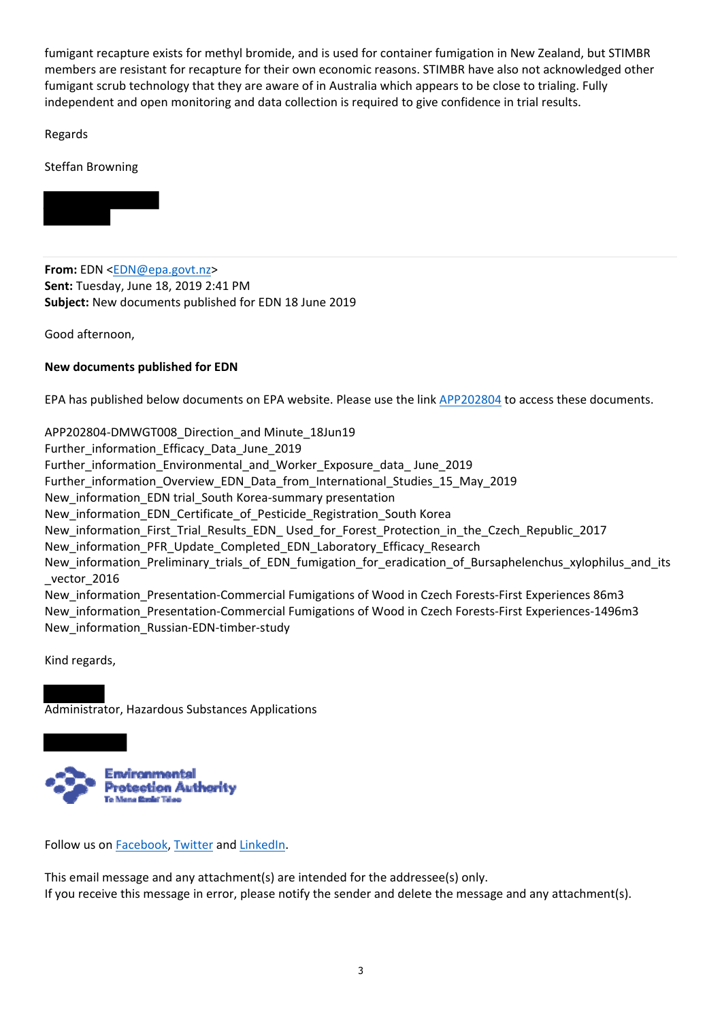fumigant recapture exists for methyl bromide, and is used for container fumigation in New Zealand, but STIMBR members are resistant for recapture for their own economic reasons. STIMBR have also not acknowledged other fumigant scrub technology that they are aware of in Australia which appears to be close to trialing. Fully independent and open monitoring and data collection is required to give confidence in trial results.

Regards

Steffan Browning



**From:** EDN <EDN@epa.govt.nz> **Sent:** Tuesday, June 18, 2019 2:41 PM **Subject:** New documents published for EDN 18 June 2019

Good afternoon,

#### **New documents published for EDN**

EPA has published below documents on EPA website. Please use the link APP202804 to access these documents.

APP202804-DMWGT008 Direction and Minute 18Jun19 Further information Efficacy Data June 2019 Further\_information\_Environmental\_and\_Worker\_Exposure\_data\_ June\_2019 Further information Overview EDN Data from International Studies 15 May 2019 New information EDN trial South Korea-summary presentation New\_information\_EDN\_Certificate\_of\_Pesticide\_Registration\_South Korea New information First Trial Results EDN Used for Forest Protection in the Czech Republic 2017 New\_information\_PFR\_Update\_Completed\_EDN\_Laboratory\_Efficacy\_Research New\_information\_Preliminary\_trials\_of\_EDN\_fumigation\_for\_eradication\_of\_Bursaphelenchus\_xylophilus\_and\_its vector 2016 New\_information\_Presentation‐Commercial Fumigations of Wood in Czech Forests‐First Experiences 86m3 New\_information\_Presentation‐Commercial Fumigations of Wood in Czech Forests‐First Experiences‐1496m3 New\_information\_Russian‐EDN‐timber‐study

Kind regards,

Administrator, Hazardous Substances Applications



Follow us on Facebook, Twitter and LinkedIn.

This email message and any attachment(s) are intended for the addressee(s) only. If you receive this message in error, please notify the sender and delete the message and any attachment(s).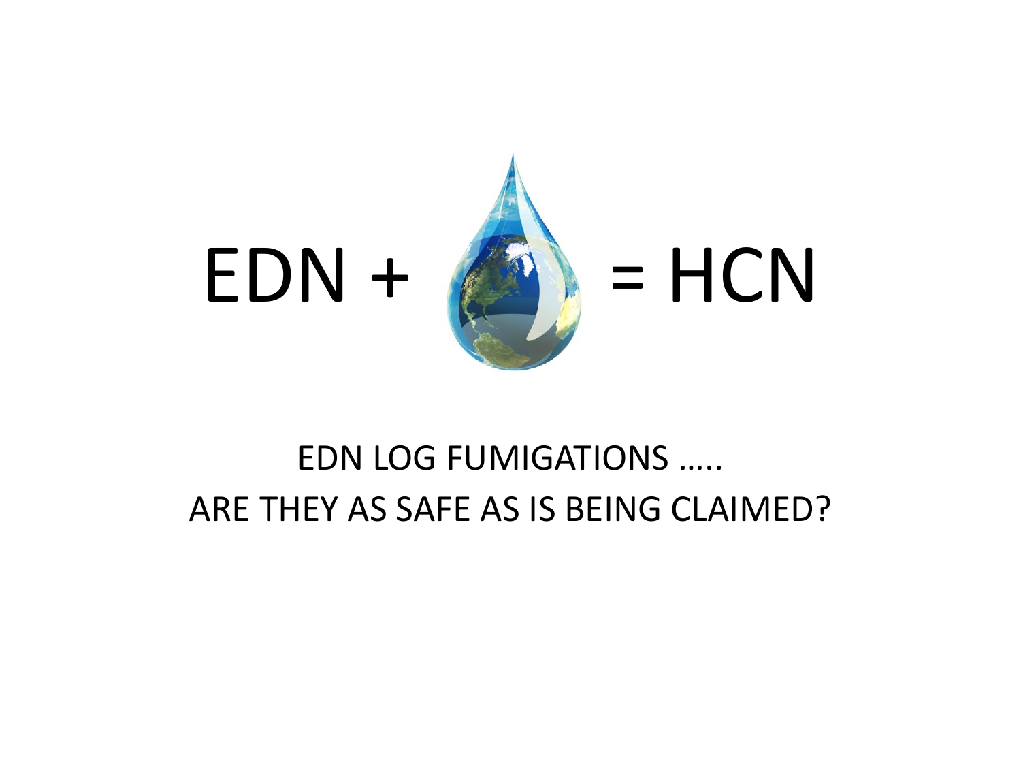

## EDN LOG FUMIGATIONS ….. ARE THEY AS SAFE AS IS BEING CLAIMED?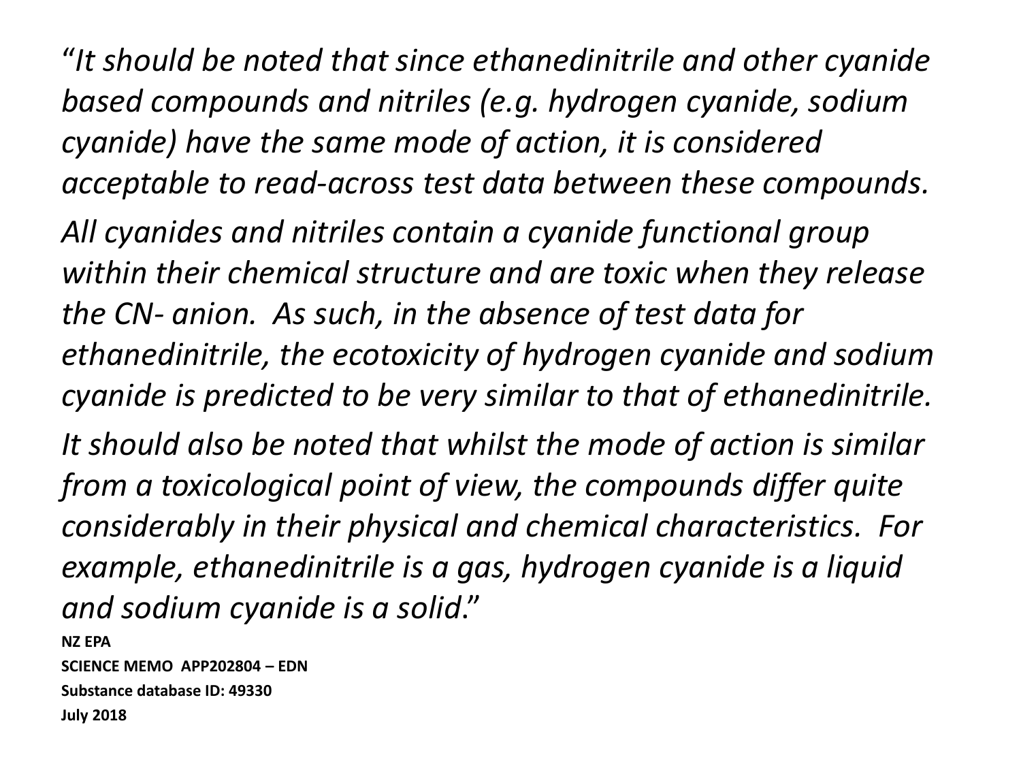"*It should be noted that since ethanedinitrile and other cyanide based compounds and nitriles (e.g. hydrogen cyanide, sodium cyanide) have the same mode of action, it is considered acceptable to read-across test data between these compounds.* 

*All cyanides and nitriles contain a cyanide functional group within their chemical structure and are toxic when they release the CN- anion. As such, in the absence of test data for ethanedinitrile, the ecotoxicity of hydrogen cyanide and sodium cyanide is predicted to be very similar to that of ethanedinitrile.*

*It should also be noted that whilst the mode of action is similar from a toxicological point of view, the compounds differ quite considerably in their physical and chemical characteristics. For example, ethanedinitrile is a gas, hydrogen cyanide is a liquid and sodium cyanide is a solid*."

**NZ EPA SCIENCE MEMO APP202804 – EDN Substance database ID: 49330 July 2018**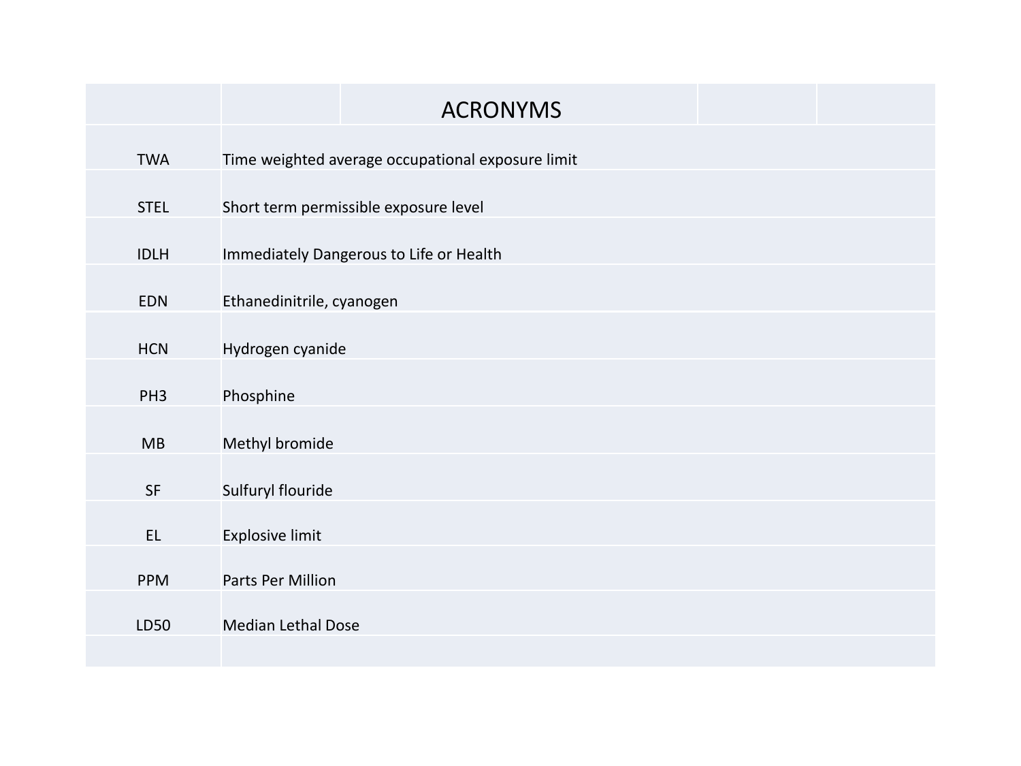|                 | <b>ACRONYMS</b>                                   |  |  |  |  |  |
|-----------------|---------------------------------------------------|--|--|--|--|--|
| <b>TWA</b>      | Time weighted average occupational exposure limit |  |  |  |  |  |
| <b>STEL</b>     | Short term permissible exposure level             |  |  |  |  |  |
| <b>IDLH</b>     | Immediately Dangerous to Life or Health           |  |  |  |  |  |
| <b>EDN</b>      | Ethanedinitrile, cyanogen                         |  |  |  |  |  |
| <b>HCN</b>      | Hydrogen cyanide                                  |  |  |  |  |  |
| PH <sub>3</sub> | Phosphine                                         |  |  |  |  |  |
| MB              | Methyl bromide                                    |  |  |  |  |  |
| ${\sf SF}$      | Sulfuryl flouride                                 |  |  |  |  |  |
| EL              | <b>Explosive limit</b>                            |  |  |  |  |  |
| <b>PPM</b>      | Parts Per Million                                 |  |  |  |  |  |
| LD50            | <b>Median Lethal Dose</b>                         |  |  |  |  |  |
|                 |                                                   |  |  |  |  |  |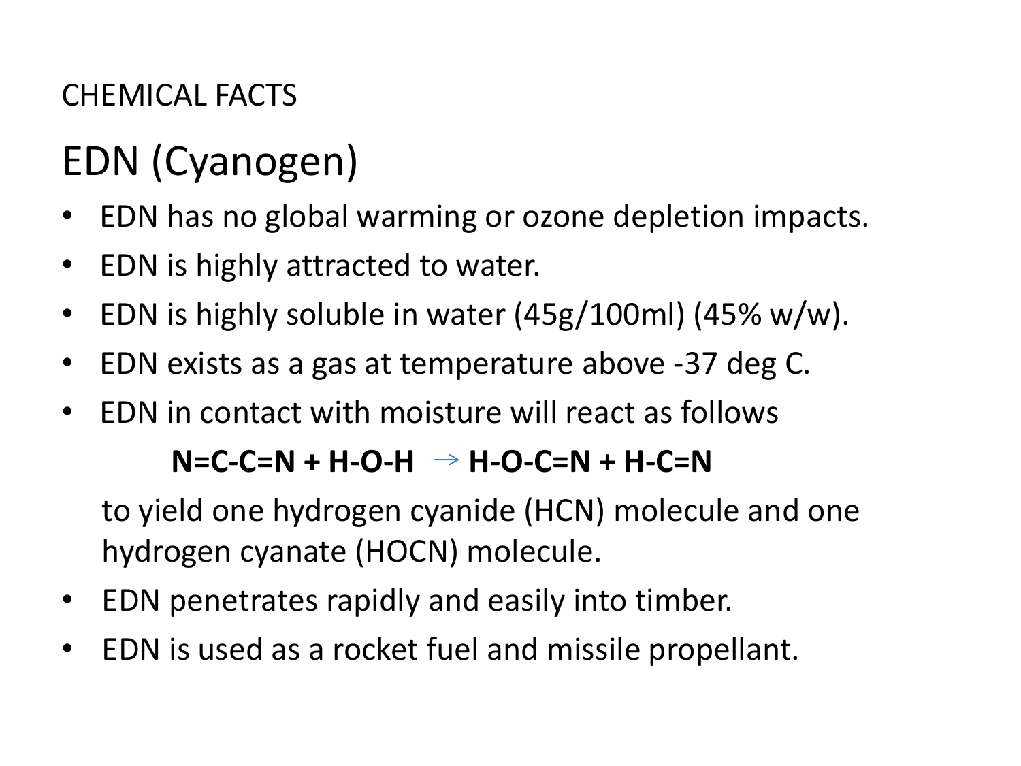### CHEMICAL FACTS

# EDN (Cyanogen)

- EDN has no global warming or ozone depletion impacts.
- EDN is highly attracted to water.
- EDN is highly soluble in water (45g/100ml) (45% w/w).
- EDN exists as a gas at temperature above -37 deg C.
- EDN in contact with moisture will react as follows

### N=C-C=N + H-O-H → H-O-C=N + H-C=N

to yield one hydrogen cyanide (HCN) molecule and one hydrogen cyanate (HOCN) molecule.

- EDN penetrates rapidly and easily into timber.
- EDN is used as a rocket fuel and missile propellant.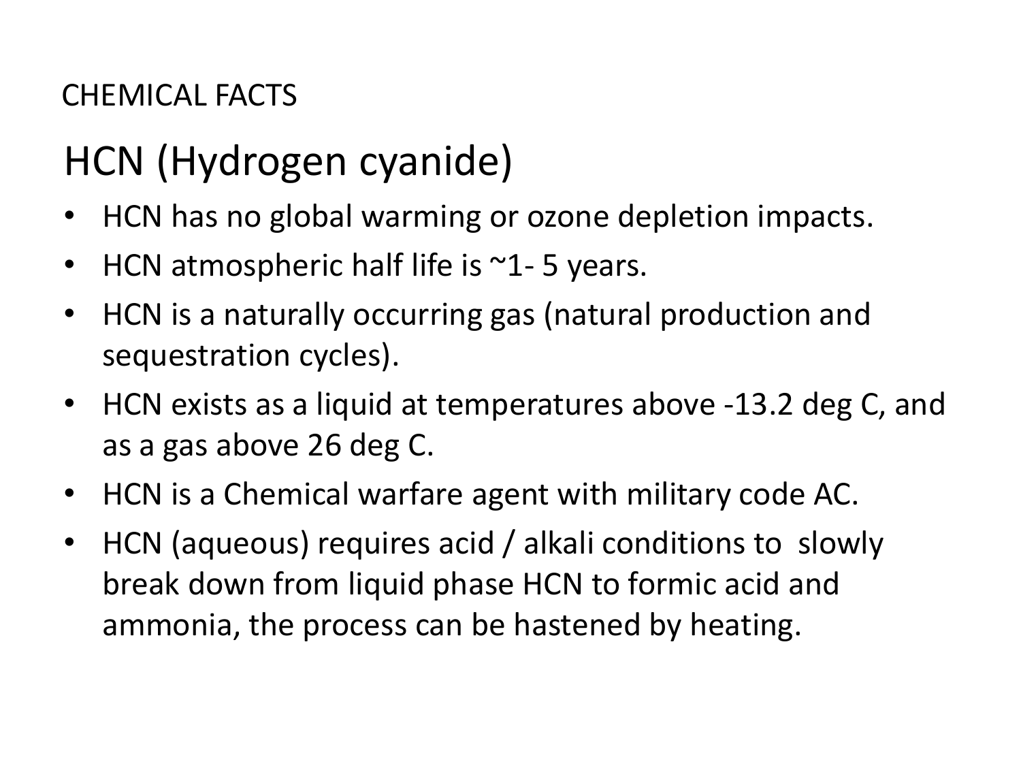### CHEMICAL FACTS

## HCN (Hydrogen cyanide)

- HCN has no global warming or ozone depletion impacts.
- HCN atmospheric half life is  $\sim$ 1-5 years.
- HCN is a naturally occurring gas (natural production and sequestration cycles).
- HCN exists as a liquid at temperatures above -13.2 deg C, and as a gas above 26 deg C.
- HCN is a Chemical warfare agent with military code AC.
- HCN (aqueous) requires acid / alkali conditions to slowly break down from liquid phase HCN to formic acid and ammonia, the process can be hastened by heating.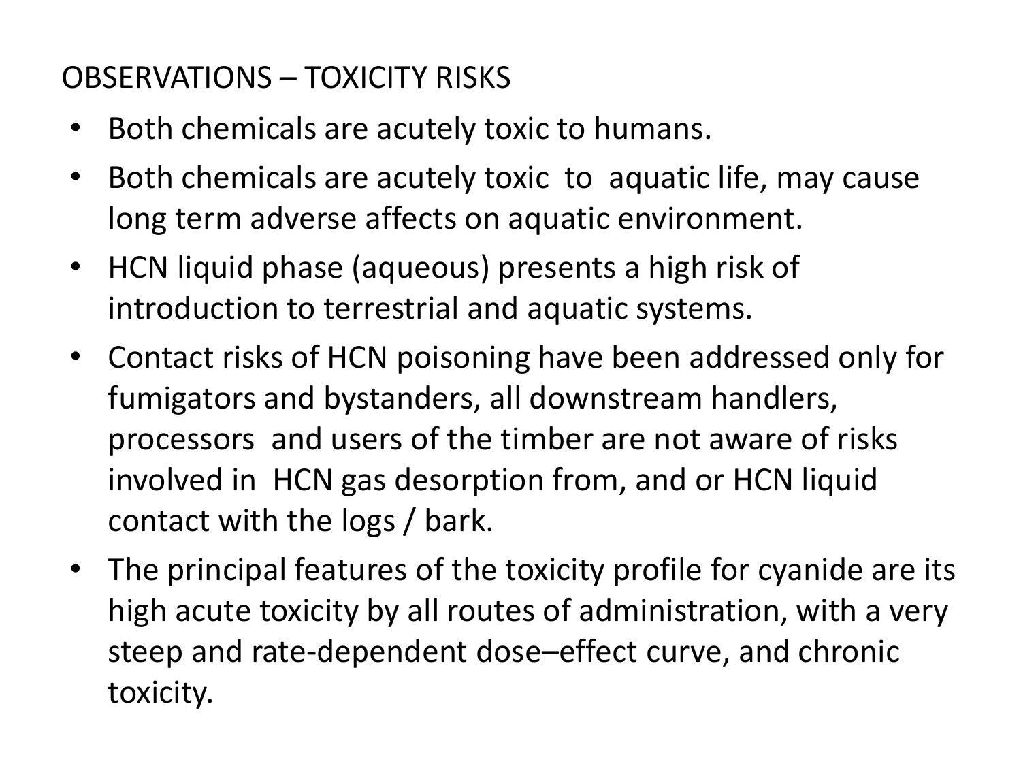### OBSERVATIONS – TOXICITY RISKS

- Both chemicals are acutely toxic to humans.
- Both chemicals are acutely toxic to aquatic life, may cause long term adverse affects on aquatic environment.
- HCN liquid phase (aqueous) presents a high risk of introduction to terrestrial and aquatic systems.
- Contact risks of HCN poisoning have been addressed only for fumigators and bystanders, all downstream handlers, processors and users of the timber are not aware of risks involved in HCN gas desorption from, and or HCN liquid contact with the logs / bark.
- The principal features of the toxicity profile for cyanide are its high acute toxicity by all routes of administration, with a very steep and rate-dependent dose–effect curve, and chronic toxicity.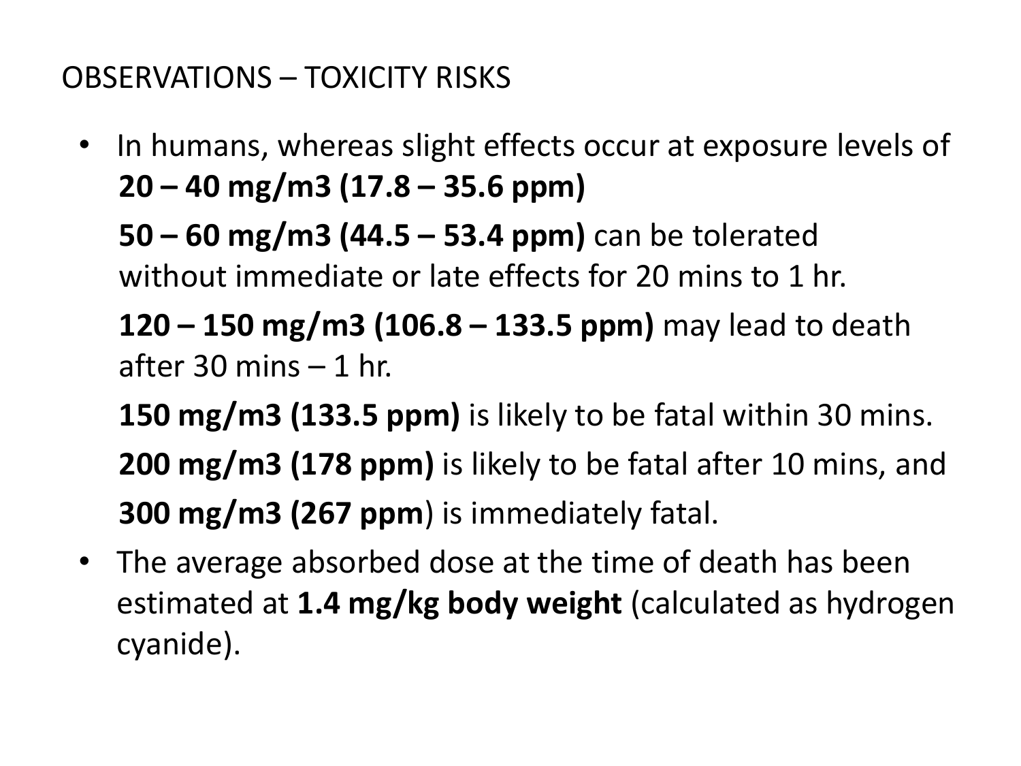### OBSERVATIONS – TOXICITY RISKS

• In humans, whereas slight effects occur at exposure levels of **20 – 40 mg/m3 (17.8 – 35.6 ppm)**

**50 – 60 mg/m3 (44.5 – 53.4 ppm)** can be tolerated without immediate or late effects for 20 mins to 1 hr.

**120 – 150 mg/m3 (106.8 – 133.5 ppm)** may lead to death after 30 mins – 1 hr.

**150 mg/m3 (133.5 ppm)** is likely to be fatal within 30 mins. **200 mg/m3 (178 ppm)** is likely to be fatal after 10 mins, and **300 mg/m3 (267 ppm**) is immediately fatal.

• The average absorbed dose at the time of death has been estimated at **1.4 mg/kg body weight** (calculated as hydrogen cyanide).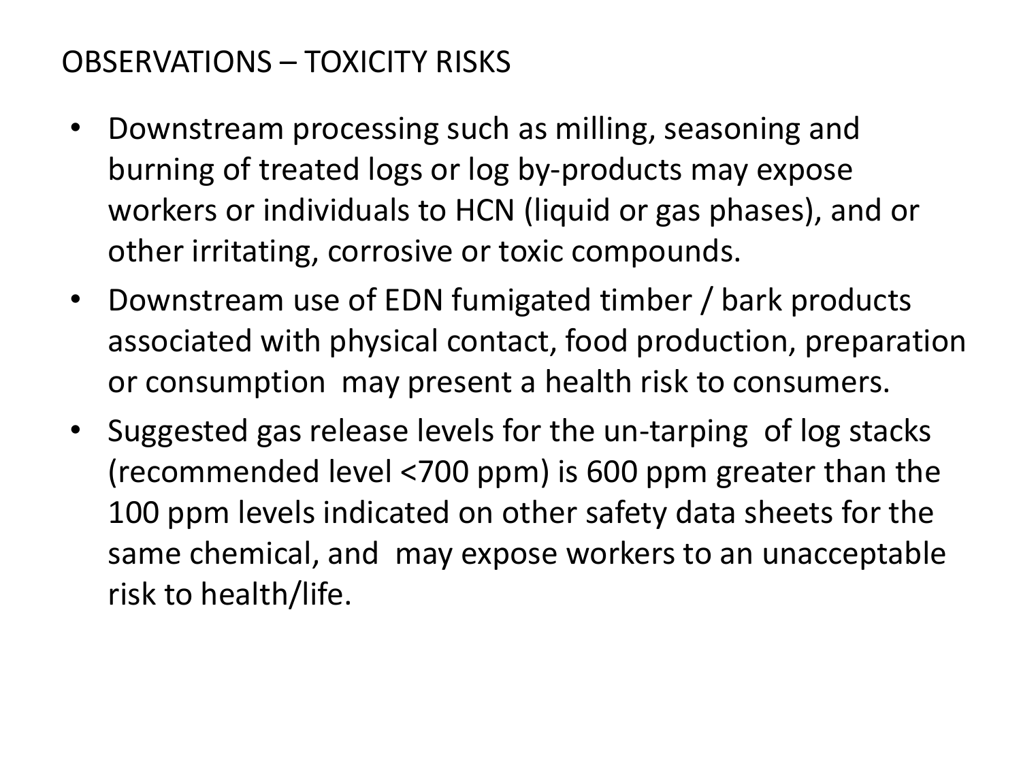### OBSERVATIONS – TOXICITY RISKS

- Downstream processing such as milling, seasoning and burning of treated logs or log by-products may expose workers or individuals to HCN (liquid or gas phases), and or other irritating, corrosive or toxic compounds.
- Downstream use of EDN fumigated timber / bark products associated with physical contact, food production, preparation or consumption may present a health risk to consumers.
- Suggested gas release levels for the un-tarping of log stacks (recommended level <700 ppm) is 600 ppm greater than the 100 ppm levels indicated on other safety data sheets for the same chemical, and may expose workers to an unacceptable risk to health/life.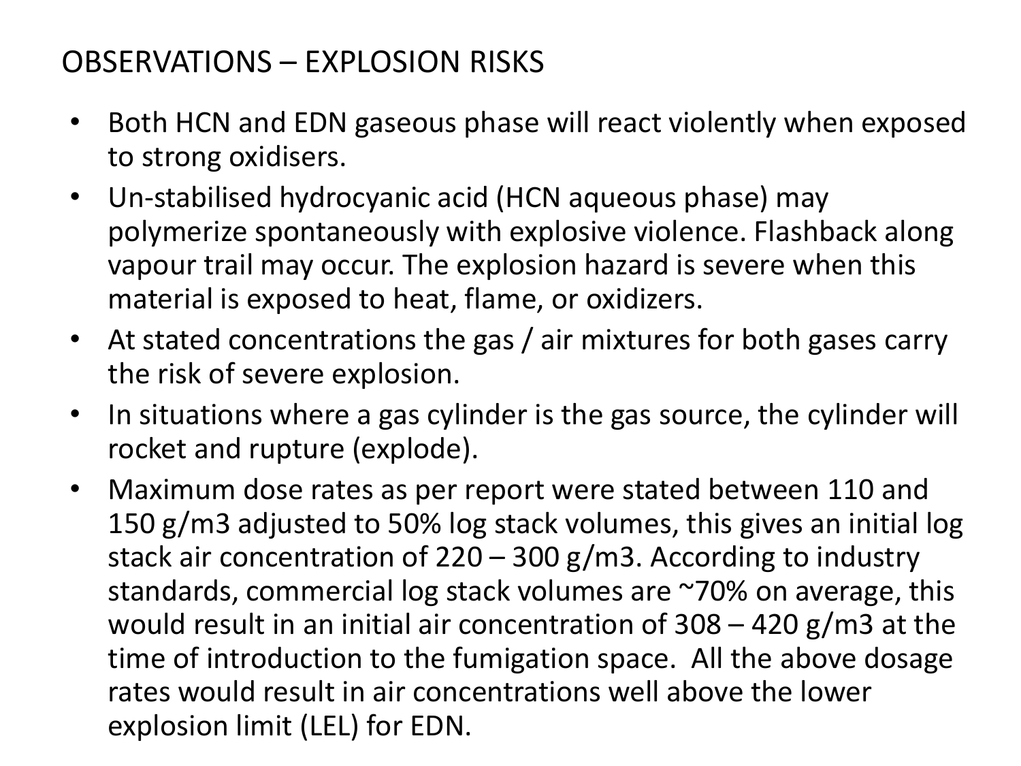### OBSERVATIONS – EXPLOSION RISKS

- Both HCN and EDN gaseous phase will react violently when exposed to strong oxidisers.
- Un-stabilised hydrocyanic acid (HCN aqueous phase) may polymerize spontaneously with explosive violence. Flashback along vapour trail may occur. The explosion hazard is severe when this material is exposed to heat, flame, or oxidizers.
- At stated concentrations the gas / air mixtures for both gases carry the risk of severe explosion.
- In situations where a gas cylinder is the gas source, the cylinder will rocket and rupture (explode).
- Maximum dose rates as per report were stated between 110 and 150 g/m3 adjusted to 50% log stack volumes, this gives an initial log stack air concentration of 220 – 300 g/m3. According to industry standards, commercial log stack volumes are ~70% on average, this would result in an initial air concentration of 308 – 420 g/m3 at the time of introduction to the fumigation space. All the above dosage rates would result in air concentrations well above the lower explosion limit (LEL) for EDN.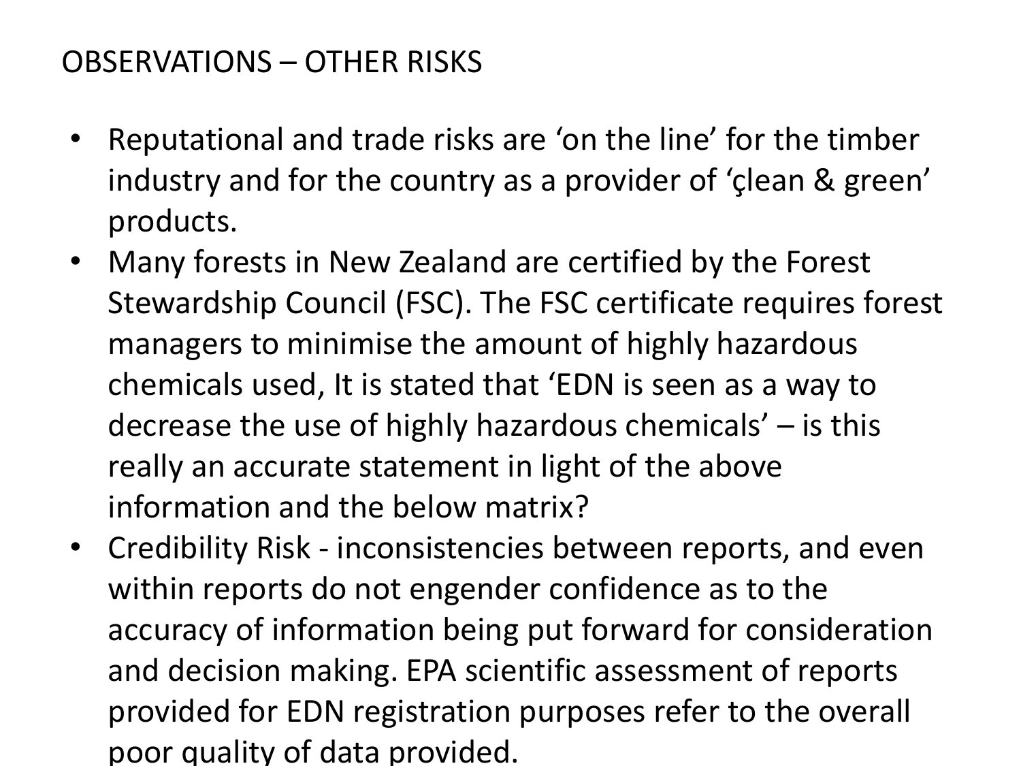### OBSERVATIONS – OTHER RISKS

- Reputational and trade risks are 'on the line' for the timber industry and for the country as a provider of 'çlean & green' products.
- Many forests in New Zealand are certified by the Forest Stewardship Council (FSC). The FSC certificate requires forest managers to minimise the amount of highly hazardous chemicals used, It is stated that 'EDN is seen as a way to decrease the use of highly hazardous chemicals' – is this really an accurate statement in light of the above information and the below matrix?
- Credibility Risk inconsistencies between reports, and even within reports do not engender confidence as to the accuracy of information being put forward for consideration and decision making. EPA scientific assessment of reports provided for EDN registration purposes refer to the overall poor quality of data provided.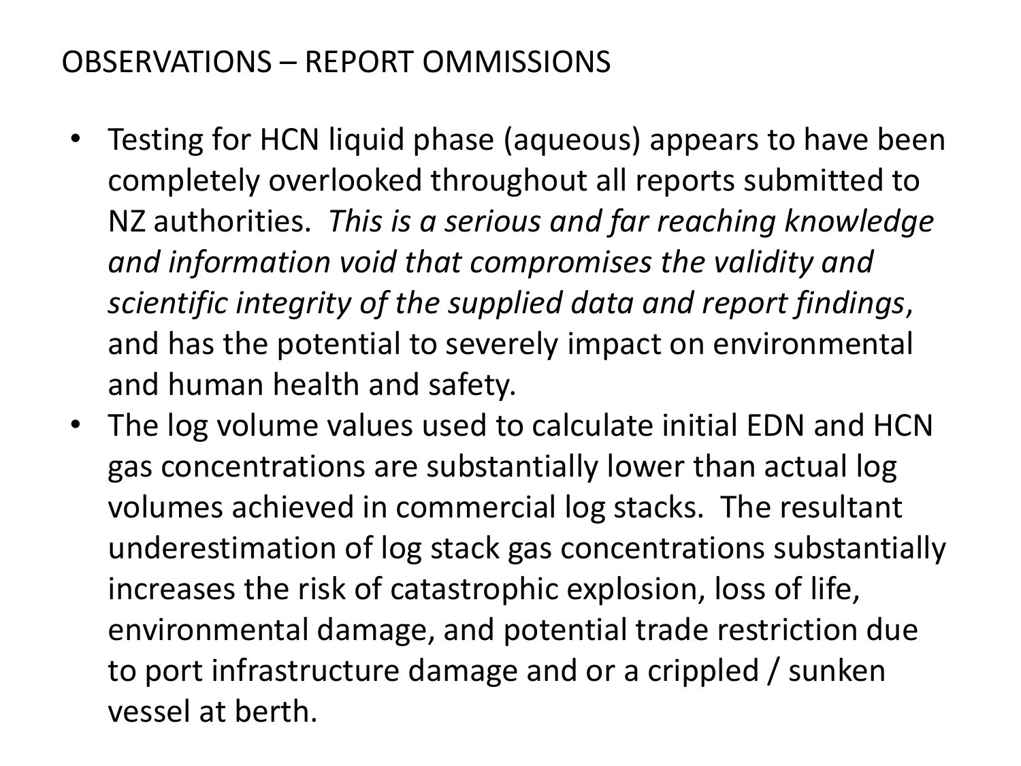### OBSERVATIONS – REPORT OMMISSIONS

- Testing for HCN liquid phase (aqueous) appears to have been completely overlooked throughout all reports submitted to NZ authorities. *This is a serious and far reaching knowledge and information void that compromises the validity and scientific integrity of the supplied data and report findings*, and has the potential to severely impact on environmental and human health and safety.
- The log volume values used to calculate initial EDN and HCN gas concentrations are substantially lower than actual log volumes achieved in commercial log stacks. The resultant underestimation of log stack gas concentrations substantially increases the risk of catastrophic explosion, loss of life, environmental damage, and potential trade restriction due to port infrastructure damage and or a crippled / sunken vessel at berth.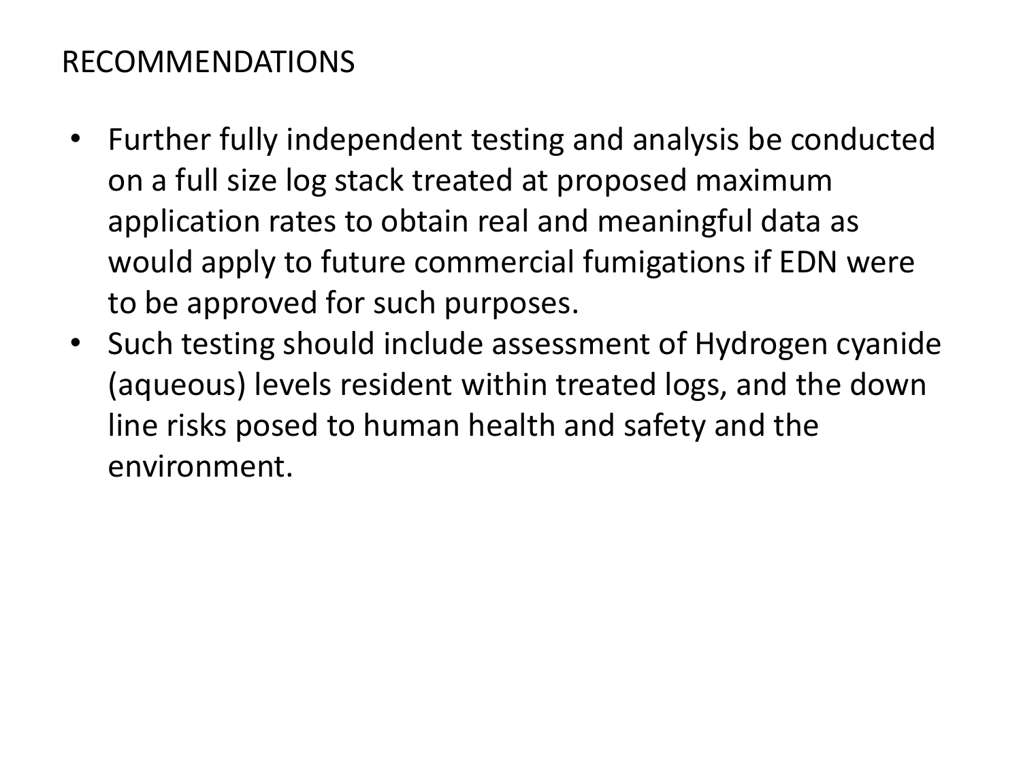### RECOMMENDATIONS

- Further fully independent testing and analysis be conducted on a full size log stack treated at proposed maximum application rates to obtain real and meaningful data as would apply to future commercial fumigations if EDN were to be approved for such purposes.
- Such testing should include assessment of Hydrogen cyanide (aqueous) levels resident within treated logs, and the down line risks posed to human health and safety and the environment.